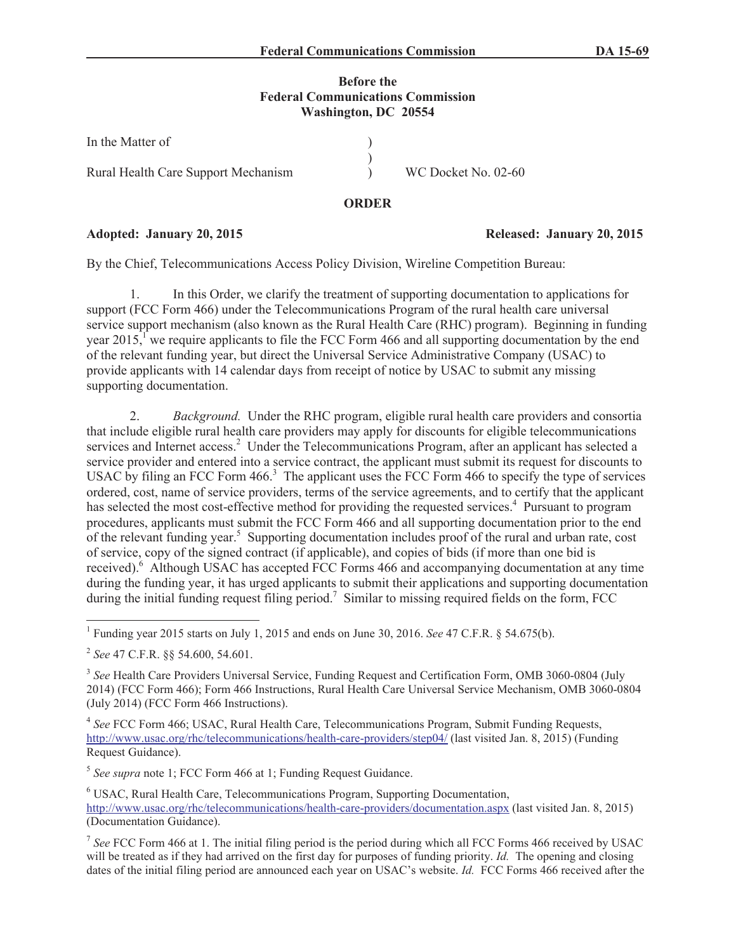#### **Before the Federal Communications Commission Washington, DC 20554**

| In the Matter of                    |                     |
|-------------------------------------|---------------------|
| Rural Health Care Support Mechanism | WC Docket No. 02-60 |

## **ORDER**

## **Adopted: January 20, 2015 Released: January 20, 2015**

By the Chief, Telecommunications Access Policy Division, Wireline Competition Bureau:

1. In this Order, we clarify the treatment of supporting documentation to applications for support (FCC Form 466) under the Telecommunications Program of the rural health care universal service support mechanism (also known as the Rural Health Care (RHC) program). Beginning in funding year  $2015$ ,<sup> $\Gamma$ </sup> we require applicants to file the FCC Form 466 and all supporting documentation by the end of the relevant funding year, but direct the Universal Service Administrative Company (USAC) to provide applicants with 14 calendar days from receipt of notice by USAC to submit any missing supporting documentation.

2. *Background.* Under the RHC program, eligible rural health care providers and consortia that include eligible rural health care providers may apply for discounts for eligible telecommunications services and Internet access.<sup>2</sup> Under the Telecommunications Program, after an applicant has selected a service provider and entered into a service contract, the applicant must submit its request for discounts to USAC by filing an FCC Form  $466<sup>3</sup>$ . The applicant uses the FCC Form  $466$  to specify the type of services ordered, cost, name of service providers, terms of the service agreements, and to certify that the applicant has selected the most cost-effective method for providing the requested services.<sup>4</sup> Pursuant to program procedures, applicants must submit the FCC Form 466 and all supporting documentation prior to the end of the relevant funding year.<sup>5</sup> Supporting documentation includes proof of the rural and urban rate, cost of service, copy of the signed contract (if applicable), and copies of bids (if more than one bid is received).<sup>6</sup> Although USAC has accepted FCC Forms 466 and accompanying documentation at any time during the funding year, it has urged applicants to submit their applications and supporting documentation during the initial funding request filing period.<sup>7</sup> Similar to missing required fields on the form, FCC

4 *See* FCC Form 466; USAC, Rural Health Care, Telecommunications Program, Submit Funding Requests, http://www.usac.org/rhc/telecommunications/health-care-providers/step04/ (last visited Jan. 8, 2015) (Funding Request Guidance).

5 *See supra* note 1; FCC Form 466 at 1; Funding Request Guidance.

<sup>6</sup> USAC, Rural Health Care, Telecommunications Program, Supporting Documentation, http://www.usac.org/rhc/telecommunications/health-care-providers/documentation.aspx (last visited Jan. 8, 2015) (Documentation Guidance).

<sup>1</sup> Funding year 2015 starts on July 1, 2015 and ends on June 30, 2016. *See* 47 C.F.R. § 54.675(b).

<sup>2</sup> *See* 47 C.F.R. §§ 54.600, 54.601.

<sup>&</sup>lt;sup>3</sup> See Health Care Providers Universal Service, Funding Request and Certification Form, OMB 3060-0804 (July 2014) (FCC Form 466); Form 466 Instructions, Rural Health Care Universal Service Mechanism, OMB 3060-0804 (July 2014) (FCC Form 466 Instructions).

<sup>7</sup> *See* FCC Form 466 at 1. The initial filing period is the period during which all FCC Forms 466 received by USAC will be treated as if they had arrived on the first day for purposes of funding priority. *Id.* The opening and closing dates of the initial filing period are announced each year on USAC's website. *Id.* FCC Forms 466 received after the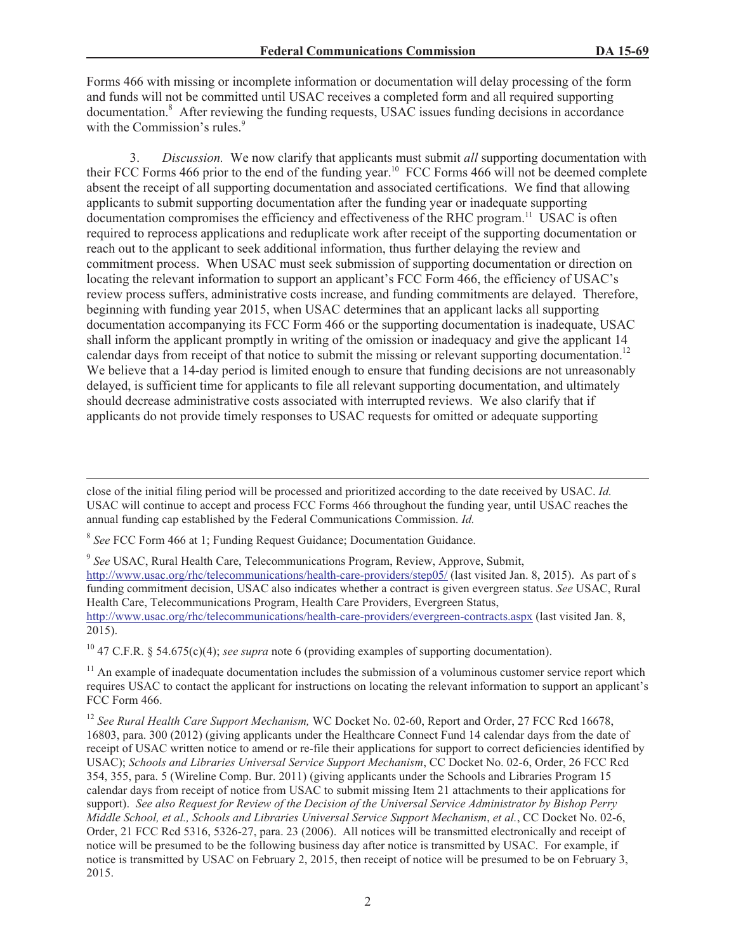Forms 466 with missing or incomplete information or documentation will delay processing of the form and funds will not be committed until USAC receives a completed form and all required supporting documentation.<sup>8</sup> After reviewing the funding requests, USAC issues funding decisions in accordance with the Commission's rules.<sup>9</sup>

3. *Discussion.* We now clarify that applicants must submit *all* supporting documentation with their FCC Forms 466 prior to the end of the funding year.<sup>10</sup> FCC Forms 466 will not be deemed complete absent the receipt of all supporting documentation and associated certifications. We find that allowing applicants to submit supporting documentation after the funding year or inadequate supporting documentation compromises the efficiency and effectiveness of the RHC program.<sup>11</sup> USAC is often required to reprocess applications and reduplicate work after receipt of the supporting documentation or reach out to the applicant to seek additional information, thus further delaying the review and commitment process. When USAC must seek submission of supporting documentation or direction on locating the relevant information to support an applicant's FCC Form 466, the efficiency of USAC's review process suffers, administrative costs increase, and funding commitments are delayed. Therefore, beginning with funding year 2015, when USAC determines that an applicant lacks all supporting documentation accompanying its FCC Form 466 or the supporting documentation is inadequate, USAC shall inform the applicant promptly in writing of the omission or inadequacy and give the applicant 14 calendar days from receipt of that notice to submit the missing or relevant supporting documentation.<sup>12</sup> We believe that a 14-day period is limited enough to ensure that funding decisions are not unreasonably delayed, is sufficient time for applicants to file all relevant supporting documentation, and ultimately should decrease administrative costs associated with interrupted reviews. We also clarify that if applicants do not provide timely responses to USAC requests for omitted or adequate supporting

9 *See* USAC, Rural Health Care, Telecommunications Program, Review, Approve, Submit, http://www.usac.org/rhc/telecommunications/health-care-providers/step05/ (last visited Jan. 8, 2015). As part of s funding commitment decision, USAC also indicates whether a contract is given evergreen status. *See* USAC, Rural Health Care, Telecommunications Program, Health Care Providers, Evergreen Status, http://www.usac.org/rhc/telecommunications/health-care-providers/evergreen-contracts.aspx (last visited Jan. 8, 2015).

<sup>10</sup> 47 C.F.R. § 54.675(c)(4); *see supra* note 6 (providing examples of supporting documentation).

 $11$  An example of inadequate documentation includes the submission of a voluminous customer service report which requires USAC to contact the applicant for instructions on locating the relevant information to support an applicant's FCC Form 466.

close of the initial filing period will be processed and prioritized according to the date received by USAC. *Id.* USAC will continue to accept and process FCC Forms 466 throughout the funding year, until USAC reaches the annual funding cap established by the Federal Communications Commission. *Id.*

<sup>&</sup>lt;sup>8</sup> See FCC Form 466 at 1; Funding Request Guidance; Documentation Guidance.

<sup>12</sup> *See Rural Health Care Support Mechanism,* WC Docket No. 02-60, Report and Order, 27 FCC Rcd 16678, 16803, para. 300 (2012) (giving applicants under the Healthcare Connect Fund 14 calendar days from the date of receipt of USAC written notice to amend or re-file their applications for support to correct deficiencies identified by USAC); *Schools and Libraries Universal Service Support Mechanism*, CC Docket No. 02-6, Order, 26 FCC Rcd 354, 355, para. 5 (Wireline Comp. Bur. 2011) (giving applicants under the Schools and Libraries Program 15 calendar days from receipt of notice from USAC to submit missing Item 21 attachments to their applications for support). *See also Request for Review of the Decision of the Universal Service Administrator by Bishop Perry Middle School, et al., Schools and Libraries Universal Service Support Mechanism*, *et al.*, CC Docket No. 02-6, Order, 21 FCC Rcd 5316, 5326-27, para. 23 (2006). All notices will be transmitted electronically and receipt of notice will be presumed to be the following business day after notice is transmitted by USAC. For example, if notice is transmitted by USAC on February 2, 2015, then receipt of notice will be presumed to be on February 3, 2015.